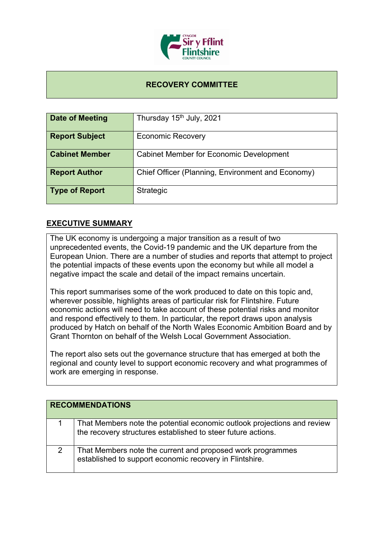

## **RECOVERY COMMITTEE**

| Date of Meeting       | Thursday 15 <sup>th</sup> July, 2021              |
|-----------------------|---------------------------------------------------|
| <b>Report Subject</b> | <b>Economic Recovery</b>                          |
| <b>Cabinet Member</b> | <b>Cabinet Member for Economic Development</b>    |
| <b>Report Author</b>  | Chief Officer (Planning, Environment and Economy) |
| <b>Type of Report</b> | Strategic                                         |

## **EXECUTIVE SUMMARY**

The UK economy is undergoing a major transition as a result of two unprecedented events, the Covid-19 pandemic and the UK departure from the European Union. There are a number of studies and reports that attempt to project the potential impacts of these events upon the economy but while all model a negative impact the scale and detail of the impact remains uncertain.

This report summarises some of the work produced to date on this topic and, wherever possible, highlights areas of particular risk for Flintshire. Future economic actions will need to take account of these potential risks and monitor and respond effectively to them. In particular, the report draws upon analysis produced by Hatch on behalf of the North Wales Economic Ambition Board and by Grant Thornton on behalf of the Welsh Local Government Association.

The report also sets out the governance structure that has emerged at both the regional and county level to support economic recovery and what programmes of work are emerging in response.

| <b>RECOMMENDATIONS</b> |                                                                                                                                         |
|------------------------|-----------------------------------------------------------------------------------------------------------------------------------------|
|                        | That Members note the potential economic outlook projections and review<br>the recovery structures established to steer future actions. |
|                        | That Members note the current and proposed work programmes<br>established to support economic recovery in Flintshire.                   |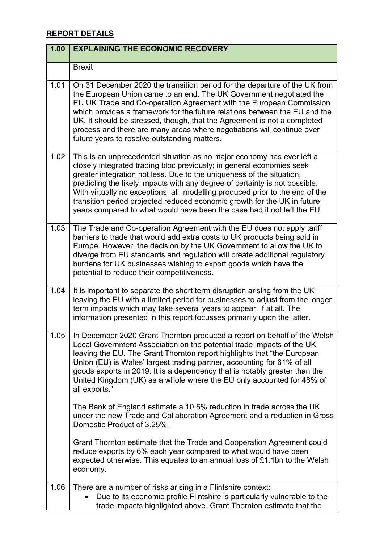## **REPORT DETAILS**

| 1.00 | <b>EXPLAINING THE ECONOMIC RECOVERY</b>                                                                                                                                                                                                                                                                                                                                                                                                                                                                                                                  |
|------|----------------------------------------------------------------------------------------------------------------------------------------------------------------------------------------------------------------------------------------------------------------------------------------------------------------------------------------------------------------------------------------------------------------------------------------------------------------------------------------------------------------------------------------------------------|
|      | <b>Brexit</b>                                                                                                                                                                                                                                                                                                                                                                                                                                                                                                                                            |
| 1.01 | On 31 December 2020 the transition period for the departure of the UK from<br>the European Union came to an end. The UK Government negotiated the<br>EU UK Trade and Co-operation Agreement with the European Commission<br>which provides a framework for the future relations between the EU and the<br>UK. It should be stressed, though, that the Agreement is not a completed<br>process and there are many areas where negotiations will continue over<br>future years to resolve outstanding matters.                                             |
| 1.02 | This is an unprecedented situation as no major economy has ever left a<br>closely integrated trading bloc previously; in general economies seek<br>greater integration not less. Due to the uniqueness of the situation,<br>predicting the likely impacts with any degree of certainty is not possible.<br>With virtually no exceptions, all modelling produced prior to the end of the<br>transition period projected reduced economic growth for the UK in future<br>years compared to what would have been the case had it not left the EU.           |
| 1.03 | The Trade and Co-operation Agreement with the EU does not apply tariff<br>barriers to trade that would add extra costs to UK products being sold in<br>Europe. However, the decision by the UK Government to allow the UK to<br>diverge from EU standards and regulation will create additional regulatory<br>burdens for UK businesses wishing to export goods which have the<br>potential to reduce their competitiveness.                                                                                                                             |
| 1.04 | It is important to separate the short term disruption arising from the UK<br>leaving the EU with a limited period for businesses to adjust from the longer<br>term impacts which may take several years to appear, if at all. The<br>information presented in this report focusses primarily upon the latter.                                                                                                                                                                                                                                            |
| 1.05 | In December 2020 Grant Thornton produced a report on behalf of the Welsh<br>Local Government Association on the potential trade impacts of the UK<br>leaving the EU. The Grant Thornton report highlights that "the European<br>Union (EU) is Wales' largest trading partner, accounting for 61% of all<br>goods exports in 2019. It is a dependency that is notably greater than the<br>United Kingdom (UK) as a whole where the EU only accounted for 48% of<br>all exports."<br>The Bank of England estimate a 10.5% reduction in trade across the UK |
|      | under the new Trade and Collaboration Agreement and a reduction in Gross<br>Domestic Product of 3.25%.                                                                                                                                                                                                                                                                                                                                                                                                                                                   |
|      | Grant Thornton estimate that the Trade and Cooperation Agreement could<br>reduce exports by 6% each year compared to what would have been<br>expected otherwise. This equates to an annual loss of £1.1bn to the Welsh<br>economy.                                                                                                                                                                                                                                                                                                                       |
| 1.06 | There are a number of risks arising in a Flintshire context:<br>Due to its economic profile Flintshire is particularly vulnerable to the<br>trade impacts highlighted above. Grant Thornton estimate that the                                                                                                                                                                                                                                                                                                                                            |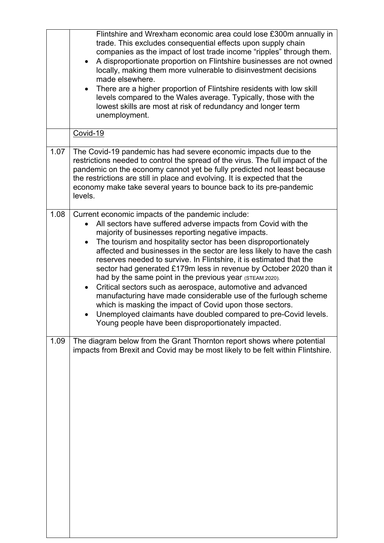|      | Flintshire and Wrexham economic area could lose £300m annually in<br>trade. This excludes consequential effects upon supply chain<br>companies as the impact of lost trade income "ripples" through them.<br>A disproportionate proportion on Flintshire businesses are not owned<br>$\bullet$<br>locally, making them more vulnerable to disinvestment decisions<br>made elsewhere.<br>There are a higher proportion of Flintshire residents with low skill<br>$\bullet$<br>levels compared to the Wales average. Typically, those with the<br>lowest skills are most at risk of redundancy and longer term<br>unemployment.                                                                                                                                                                                                                                           |
|------|-------------------------------------------------------------------------------------------------------------------------------------------------------------------------------------------------------------------------------------------------------------------------------------------------------------------------------------------------------------------------------------------------------------------------------------------------------------------------------------------------------------------------------------------------------------------------------------------------------------------------------------------------------------------------------------------------------------------------------------------------------------------------------------------------------------------------------------------------------------------------|
|      | Covid-19                                                                                                                                                                                                                                                                                                                                                                                                                                                                                                                                                                                                                                                                                                                                                                                                                                                                |
| 1.07 | The Covid-19 pandemic has had severe economic impacts due to the<br>restrictions needed to control the spread of the virus. The full impact of the<br>pandemic on the economy cannot yet be fully predicted not least because<br>the restrictions are still in place and evolving. It is expected that the<br>economy make take several years to bounce back to its pre-pandemic<br>levels.                                                                                                                                                                                                                                                                                                                                                                                                                                                                             |
| 1.08 | Current economic impacts of the pandemic include:<br>All sectors have suffered adverse impacts from Covid with the<br>majority of businesses reporting negative impacts.<br>The tourism and hospitality sector has been disproportionately<br>$\bullet$<br>affected and businesses in the sector are less likely to have the cash<br>reserves needed to survive. In Flintshire, it is estimated that the<br>sector had generated £179m less in revenue by October 2020 than it<br>had by the same point in the previous year (STEAM 2020).<br>Critical sectors such as aerospace, automotive and advanced<br>٠<br>manufacturing have made considerable use of the furlough scheme<br>which is masking the impact of Covid upon those sectors.<br>Unemployed claimants have doubled compared to pre-Covid levels.<br>Young people have been disproportionately impacted. |
| 1.09 | The diagram below from the Grant Thornton report shows where potential<br>impacts from Brexit and Covid may be most likely to be felt within Flintshire.                                                                                                                                                                                                                                                                                                                                                                                                                                                                                                                                                                                                                                                                                                                |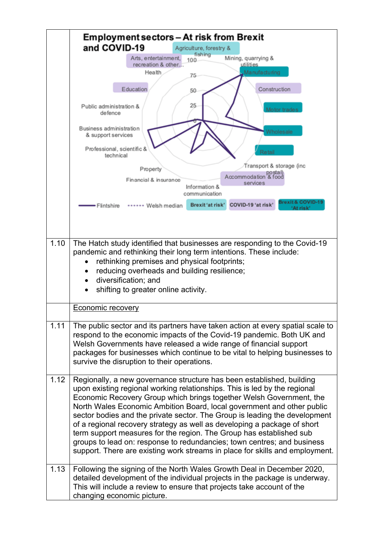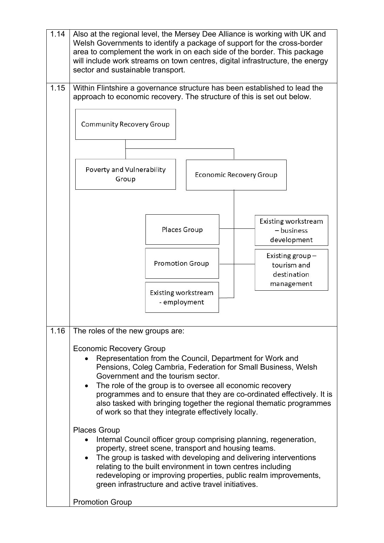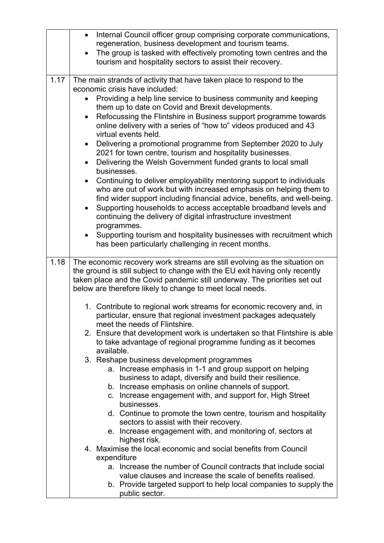|      | Internal Council officer group comprising corporate communications,<br>$\bullet$<br>regeneration, business development and tourism teams.<br>The group is tasked with effectively promoting town centres and the<br>tourism and hospitality sectors to assist their recovery.                                                |
|------|------------------------------------------------------------------------------------------------------------------------------------------------------------------------------------------------------------------------------------------------------------------------------------------------------------------------------|
| 1.17 | The main strands of activity that have taken place to respond to the<br>economic crisis have included:<br>Providing a help line service to business community and keeping<br>$\bullet$<br>them up to date on Covid and Brexit developments.<br>Refocussing the Flintshire in Business support programme towards<br>$\bullet$ |
|      | online delivery with a series of "how to" videos produced and 43<br>virtual events held.                                                                                                                                                                                                                                     |
|      | Delivering a promotional programme from September 2020 to July<br>$\bullet$<br>2021 for town centre, tourism and hospitality businesses.<br>Delivering the Welsh Government funded grants to local small<br>$\bullet$                                                                                                        |
|      | businesses.<br>Continuing to deliver employability mentoring support to individuals                                                                                                                                                                                                                                          |
|      | who are out of work but with increased emphasis on helping them to<br>find wider support including financial advice, benefits, and well-being.<br>Supporting households to access acceptable broadband levels and<br>$\bullet$<br>continuing the delivery of digital infrastructure investment                               |
|      | programmes.<br>Supporting tourism and hospitality businesses with recruitment which<br>$\bullet$<br>has been particularly challenging in recent months.                                                                                                                                                                      |
| 1.18 | The economic recovery work streams are still evolving as the situation on<br>the ground is still subject to change with the EU exit having only recently<br>taken place and the Covid pandemic still underway. The priorities set out<br>below are therefore likely to change to meet local needs.                           |
|      | 1. Contribute to regional work streams for economic recovery and, in<br>particular, ensure that regional investment packages adequately<br>meet the needs of Flintshire.<br>2. Ensure that development work is undertaken so that Flintshire is able                                                                         |
|      | to take advantage of regional programme funding as it becomes<br>available.                                                                                                                                                                                                                                                  |
|      | 3. Reshape business development programmes<br>a. Increase emphasis in 1-1 and group support on helping<br>business to adapt, diversify and build their resilience.<br>b. Increase emphasis on online channels of support.<br>c. Increase engagement with, and support for, High Street                                       |
|      | businesses.<br>d. Continue to promote the town centre, tourism and hospitality<br>sectors to assist with their recovery.<br>e. Increase engagement with, and monitoring of, sectors at                                                                                                                                       |
|      | highest risk.<br>4. Maximise the local economic and social benefits from Council<br>expenditure                                                                                                                                                                                                                              |
|      | a. Increase the number of Council contracts that include social<br>value clauses and increase the scale of benefits realised.<br>b. Provide targeted support to help local companies to supply the<br>public sector.                                                                                                         |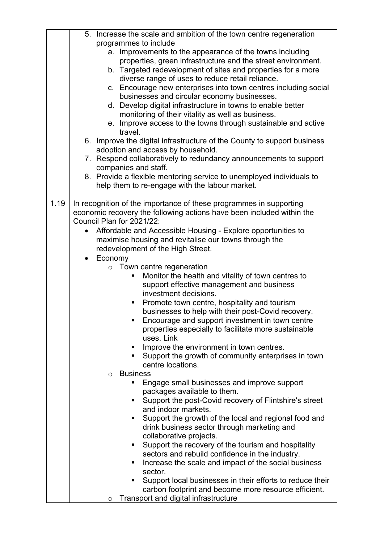|      | 5. Increase the scale and ambition of the town centre regeneration      |
|------|-------------------------------------------------------------------------|
|      | programmes to include                                                   |
|      | a. Improvements to the appearance of the towns including                |
|      | properties, green infrastructure and the street environment.            |
|      | b. Targeted redevelopment of sites and properties for a more            |
|      | diverse range of uses to reduce retail reliance.                        |
|      | c. Encourage new enterprises into town centres including social         |
|      |                                                                         |
|      | businesses and circular economy businesses.                             |
|      | d. Develop digital infrastructure in towns to enable better             |
|      | monitoring of their vitality as well as business.                       |
|      | e. Improve access to the towns through sustainable and active           |
|      | travel.                                                                 |
|      | 6. Improve the digital infrastructure of the County to support business |
|      | adoption and access by household.                                       |
|      | 7. Respond collaboratively to redundancy announcements to support       |
|      |                                                                         |
|      | companies and staff.                                                    |
|      | 8. Provide a flexible mentoring service to unemployed individuals to    |
|      | help them to re-engage with the labour market.                          |
|      |                                                                         |
| 1.19 | In recognition of the importance of these programmes in supporting      |
|      | economic recovery the following actions have been included within the   |
|      | Council Plan for 2021/22:                                               |
|      | Affordable and Accessible Housing - Explore opportunities to            |
|      | maximise housing and revitalise our towns through the                   |
|      | redevelopment of the High Street.                                       |
|      |                                                                         |
|      | Economy<br>$\bullet$                                                    |
|      | Town centre regeneration<br>$\circ$                                     |
|      | Monitor the health and vitality of town centres to<br>п                 |
|      | support effective management and business                               |
|      | investment decisions.                                                   |
|      | Promote town centre, hospitality and tourism<br>п                       |
|      | businesses to help with their post-Covid recovery.                      |
|      |                                                                         |
|      | Encourage and support investment in town centre                         |
|      | properties especially to facilitate more sustainable                    |
|      | uses. Link                                                              |
|      | Improve the environment in town centres.<br>٠                           |
|      | Support the growth of community enterprises in town<br>٠                |
|      | centre locations.                                                       |
|      | <b>Business</b><br>$\circ$                                              |
|      | Engage small businesses and improve support                             |
|      | packages available to them.                                             |
|      | Support the post-Covid recovery of Flintshire's street<br>٠             |
|      | and indoor markets.                                                     |
|      |                                                                         |
|      | Support the growth of the local and regional food and<br>ш              |
|      | drink business sector through marketing and                             |
|      | collaborative projects.                                                 |
|      | Support the recovery of the tourism and hospitality<br>п                |
|      | sectors and rebuild confidence in the industry.                         |
|      | Increase the scale and impact of the social business<br>ш               |
|      | sector.                                                                 |
|      | Support local businesses in their efforts to reduce their<br>ш          |
|      |                                                                         |
|      | carbon footprint and become more resource efficient.                    |
|      | Transport and digital infrastructure<br>O                               |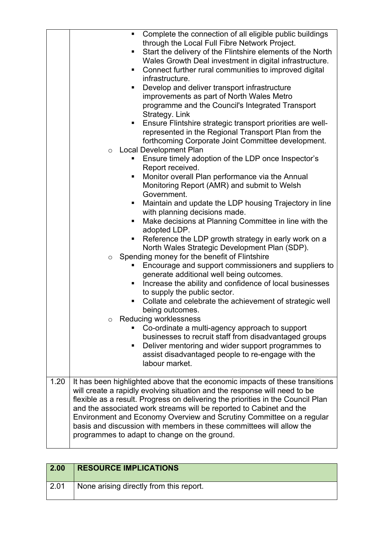|      | Complete the connection of all eligible public buildings<br>through the Local Full Fibre Network Project.<br>Start the delivery of the Flintshire elements of the North<br>п<br>Wales Growth Deal investment in digital infrastructure.<br>Connect further rural communities to improved digital<br>Ξ<br>infrastructure.<br>Develop and deliver transport infrastructure<br>ш<br>improvements as part of North Wales Metro<br>programme and the Council's Integrated Transport<br>Strategy. Link<br>Ensure Flintshire strategic transport priorities are well-<br>п<br>represented in the Regional Transport Plan from the<br>forthcoming Corporate Joint Committee development. |
|------|----------------------------------------------------------------------------------------------------------------------------------------------------------------------------------------------------------------------------------------------------------------------------------------------------------------------------------------------------------------------------------------------------------------------------------------------------------------------------------------------------------------------------------------------------------------------------------------------------------------------------------------------------------------------------------|
|      | <b>Local Development Plan</b><br>$\circ$<br>Ensure timely adoption of the LDP once Inspector's<br>Ξ<br>Report received.<br>Monitor overall Plan performance via the Annual<br>п<br>Monitoring Report (AMR) and submit to Welsh<br>Government.<br>Maintain and update the LDP housing Trajectory in line<br>٠<br>with planning decisions made.<br>Make decisions at Planning Committee in line with the<br>٠                                                                                                                                                                                                                                                                      |
|      | adopted LDP.<br>Reference the LDP growth strategy in early work on a<br>٠<br>North Wales Strategic Development Plan (SDP).<br>Spending money for the benefit of Flintshire<br>$\circ$<br>Encourage and support commissioners and suppliers to<br>generate additional well being outcomes.<br>Increase the ability and confidence of local businesses<br>٠<br>to supply the public sector.<br>Collate and celebrate the achievement of strategic well<br>being outcomes.<br><b>Reducing worklessness</b><br>Co-ordinate a multi-agency approach to support<br>businesses to recruit staff from disadvantaged groups<br>Deliver mentoring and wider support programmes to<br>٠     |
| 1.20 | assist disadvantaged people to re-engage with the<br>labour market.<br>It has been highlighted above that the economic impacts of these transitions<br>will create a rapidly evolving situation and the response will need to be<br>flexible as a result. Progress on delivering the priorities in the Council Plan<br>and the associated work streams will be reported to Cabinet and the<br>Environment and Economy Overview and Scrutiny Committee on a regular<br>basis and discussion with members in these committees will allow the<br>programmes to adapt to change on the ground.                                                                                       |

| 2.00 | <b>RESOURCE IMPLICATIONS</b>            |
|------|-----------------------------------------|
| 2.01 | None arising directly from this report. |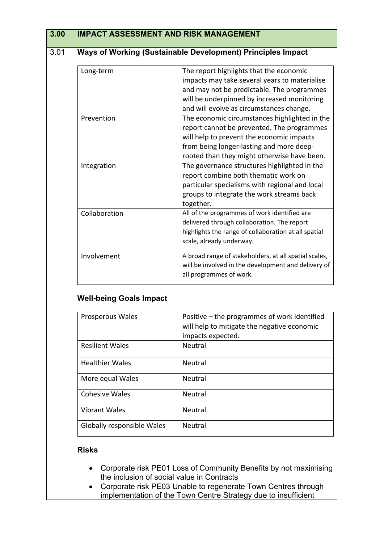| <b>IMPACT ASSESSMENT AND RISK MANAGEMENT</b> |                                                                                                                                                                                                  |
|----------------------------------------------|--------------------------------------------------------------------------------------------------------------------------------------------------------------------------------------------------|
|                                              | Ways of Working (Sustainable Development) Principles Impact                                                                                                                                      |
| Long-term                                    | The report highlights that the economic<br>impacts may take several years to materialise<br>and may not be predictable. The programmes<br>will be underpinned by increased monitoring            |
| Prevention                                   | and will evolve as circumstances change.<br>The economic circumstances highlighted in the                                                                                                        |
|                                              | report cannot be prevented. The programmes<br>will help to prevent the economic impacts<br>from being longer-lasting and more deep-<br>rooted than they might otherwise have been.               |
| Integration                                  | The governance structures highlighted in the<br>report combine both thematic work on<br>particular specialisms with regional and local<br>groups to integrate the work streams back<br>together. |
| Collaboration                                | All of the programmes of work identified are<br>delivered through collaboration. The report<br>highlights the range of collaboration at all spatial<br>scale, already underway.                  |
| Involvement                                  | A broad range of stakeholders, at all spatial scales,<br>will be involved in the development and delivery of<br>all programmes of work.                                                          |
| <b>Well-being Goals Impact</b>               |                                                                                                                                                                                                  |
| Prosperous Wales                             | Positive - the programmes of work identified<br>will help to mitigate the negative economic<br>impacts expected.                                                                                 |
| <b>Resilient Wales</b>                       | Neutral                                                                                                                                                                                          |
|                                              | Neutral                                                                                                                                                                                          |
| <b>Healthier Wales</b>                       |                                                                                                                                                                                                  |
| More equal Wales                             | Neutral                                                                                                                                                                                          |
| <b>Cohesive Wales</b>                        | Neutral                                                                                                                                                                                          |
| <b>Vibrant Wales</b>                         | Neutral                                                                                                                                                                                          |

- Corporate risk PE01 Loss of Community Benefits by not maximising the inclusion of social value in Contracts
- Corporate risk PE03 Unable to regenerate Town Centres through implementation of the Town Centre Strategy due to insufficient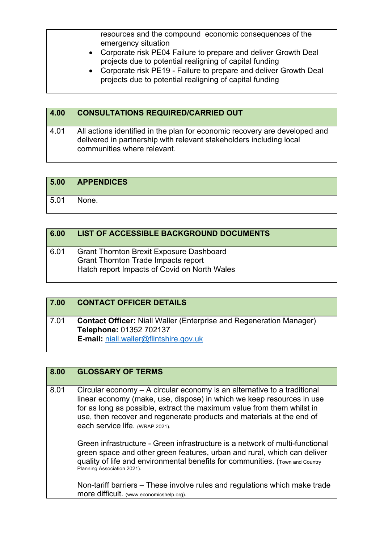| resources and the compound economic consequences of the<br>emergency situation<br>• Corporate risk PE04 Failure to prepare and deliver Growth Deal<br>projects due to potential realigning of capital funding<br>• Corporate risk PE19 - Failure to prepare and deliver Growth Deal<br>projects due to potential realigning of capital funding |
|------------------------------------------------------------------------------------------------------------------------------------------------------------------------------------------------------------------------------------------------------------------------------------------------------------------------------------------------|
|------------------------------------------------------------------------------------------------------------------------------------------------------------------------------------------------------------------------------------------------------------------------------------------------------------------------------------------------|

| 4.00 | <b>CONSULTATIONS REQUIRED/CARRIED OUT</b>                                                                                                                                        |
|------|----------------------------------------------------------------------------------------------------------------------------------------------------------------------------------|
| 4.01 | All actions identified in the plan for economic recovery are developed and<br>delivered in partnership with relevant stakeholders including local<br>communities where relevant. |

| 5.00 | <b>APPENDICES</b> |
|------|-------------------|
| 5.01 | None.             |

| 6.00 | LIST OF ACCESSIBLE BACKGROUND DOCUMENTS                                                                                                       |
|------|-----------------------------------------------------------------------------------------------------------------------------------------------|
| 6.01 | <b>Grant Thornton Brexit Exposure Dashboard</b><br><b>Grant Thornton Trade Impacts report</b><br>Hatch report Impacts of Covid on North Wales |

| 7.00 | <b>CONTACT OFFICER DETAILS</b>                                                                                                                            |
|------|-----------------------------------------------------------------------------------------------------------------------------------------------------------|
| 7.01 | <b>Contact Officer:</b> Niall Waller (Enterprise and Regeneration Manager)<br>Telephone: 01352 702137<br><b>E-mail:</b> $n$ iall.waller@flintshire.gov.uk |

| 8.00 | <b>GLOSSARY OF TERMS</b>                                                                                                                                                                                                                                                                                                                                                                                                                                                                                                                                                                                                                                                                                                                        |
|------|-------------------------------------------------------------------------------------------------------------------------------------------------------------------------------------------------------------------------------------------------------------------------------------------------------------------------------------------------------------------------------------------------------------------------------------------------------------------------------------------------------------------------------------------------------------------------------------------------------------------------------------------------------------------------------------------------------------------------------------------------|
| 8.01 | Circular economy $-$ A circular economy is an alternative to a traditional<br>linear economy (make, use, dispose) in which we keep resources in use<br>for as long as possible, extract the maximum value from them whilst in<br>use, then recover and regenerate products and materials at the end of<br>each service life. (WRAP 2021).<br>Green infrastructure - Green infrastructure is a network of multi-functional<br>green space and other green features, urban and rural, which can deliver<br>quality of life and environmental benefits for communities. (Town and Country<br>Planning Association 2021).<br>Non-tariff barriers – These involve rules and regulations which make trade<br>more difficult. (www.economicshelp.org). |
|      |                                                                                                                                                                                                                                                                                                                                                                                                                                                                                                                                                                                                                                                                                                                                                 |